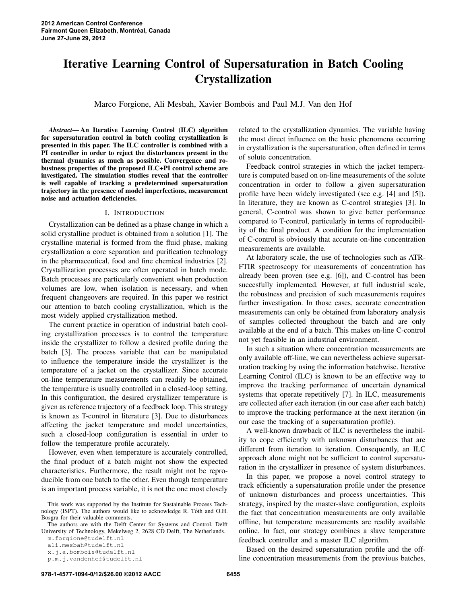# Iterative Learning Control of Supersaturation in Batch Cooling Crystallization

Marco Forgione, Ali Mesbah, Xavier Bombois and Paul M.J. Van den Hof

*Abstract*— An Iterative Learning Control (ILC) algorithm for supersaturation control in batch cooling crystallization is presented in this paper. The ILC controller is combined with a PI controller in order to reject the disturbances present in the thermal dynamics as much as possible. Convergence and robustness properties of the proposed ILC+PI control scheme are investigated. The simulation studies reveal that the controller is well capable of tracking a predetermined supersaturation trajectory in the presence of model imperfections, measurement noise and actuation deficiencies.

#### I. INTRODUCTION

Crystallization can be defined as a phase change in which a solid crystalline product is obtained from a solution [1]. The crystalline material is formed from the fluid phase, making crystallization a core separation and purification technology in the pharmaceutical, food and fine chemical industries [2]. Crystallization processes are often operated in batch mode. Batch processes are particularly convenient when production volumes are low, when isolation is necessary, and when frequent changeovers are required. In this paper we restrict our attention to batch cooling crystallization, which is the most widely applied crystallization method.

The current practice in operation of industrial batch cooling crystallization processes is to control the temperature inside the crystallizer to follow a desired profile during the batch [3]. The process variable that can be manipulated to influence the temperature inside the crystallizer is the temperature of a jacket on the crystallizer. Since accurate on-line temperature measurements can readily be obtained, the temperature is usually controlled in a closed-loop setting. In this configuration, the desired crystallizer temperature is given as reference trajectory of a feedback loop. This strategy is known as T-control in literature [3]. Due to disturbances affecting the jacket temperature and model uncertainties, such a closed-loop configuration is essential in order to follow the temperature profile accurately.

However, even when temperature is accurately controlled, the final product of a batch might not show the expected characteristics. Furthermore, the result might not be reproducible from one batch to the other. Even though temperature is an important process variable, it is not the one most closely

p.m.j.vandenhof@tudelft.nl

related to the crystallization dynamics. The variable having the most direct influence on the basic phenomena occurring in crystallization is the supersaturation, often defined in terms of solute concentration.

Feedback control strategies in which the jacket temperature is computed based on on-line measurements of the solute concentration in order to follow a given supersaturation profile have been widely investigated (see e.g. [4] and [5]). In literature, they are known as C-control strategies [3]. In general, C-control was shown to give better performance compared to T-control, particularly in terms of reproducibility of the final product. A condition for the implementation of C-control is obviously that accurate on-line concentration measurements are available.

At laboratory scale, the use of technologies such as ATR-FTIR spectroscopy for measurements of concentration has already been proven (see e.g. [6]), and C-control has been succesfully implemented. However, at full industrial scale, the robustness and precision of such measurements requires further investigation. In those cases, accurate concentration measurements can only be obtained from laboratory analysis of samples collected throughout the batch and are only available at the end of a batch. This makes on-line C-control not yet feasible in an industrial environment.

In such a situation where concentration measurements are only available off-line, we can nevertheless achieve supersaturation tracking by using the information batchwise. Iterative Learning Control (ILC) is known to be an effective way to improve the tracking performance of uncertain dynamical systems that operate repetitively [7]. In ILC, measurements are collected after each iteration (in our case after each batch) to improve the tracking performance at the next iteration (in our case the tracking of a supersaturation profile).

A well-known drawback of ILC is nevertheless the inability to cope efficiently with unknown disturbances that are different from iteration to iteration. Consequently, an ILC approach alone might not be sufficient to control supersaturation in the crystallizer in presence of system disturbances.

In this paper, we propose a novel control strategy to track efficiently a supersaturation profile under the presence of unknown disturbances and process uncertainties. This strategy, inspired by the master-slave configuration, exploits the fact that concentration measurements are only available offline, but temperature measurements are readily available online. In fact, our strategy combines a slave temperature feedback controller and a master ILC algorithm.

Based on the desired supersaturation profile and the offline concentration measurements from the previous batches,

This work was supported by the Institute for Sustainable Process Technology (ISPT). The authors would like to acknowledge R. Tóth and O.H. Bosgra for their valuable comments.

The authors are with the Delft Center for Systems and Control, Delft University of Technology, Mekelweg 2, 2628 CD Delft, The Netherlands.

m.forgione@tudelft.nl

ali.mesbah@tudelft.nl x.j.a.bombois@tudelft.nl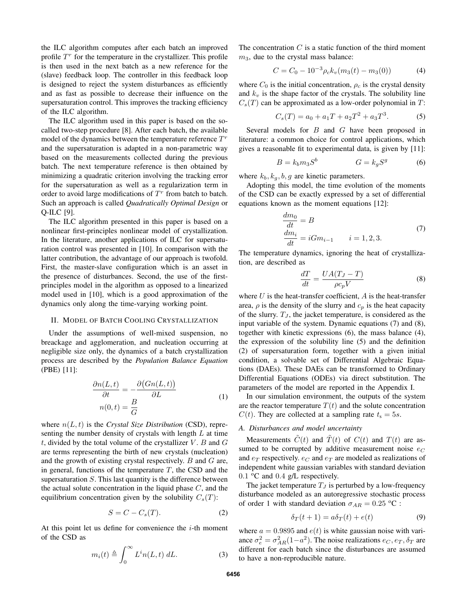the ILC algorithm computes after each batch an improved profile  $T<sup>r</sup>$  for the temperature in the crystallizer. This profile is then used in the next batch as a new reference for the (slave) feedback loop. The controller in this feedback loop is designed to reject the system disturbances as efficiently and as fast as possible to decrease their influence on the supersaturation control. This improves the tracking efficiency of the ILC algorithm.

The ILC algorithm used in this paper is based on the socalled two-step procedure [8]. After each batch, the available model of the dynamics between the temperature reference  $T<sup>r</sup>$ and the supersaturation is adapted in a non-parametric way based on the measurements collected during the previous batch. The next temperature reference is then obtained by minimizing a quadratic criterion involving the tracking error for the supersaturation as well as a regularization term in order to avoid large modifications of  $T<sup>r</sup>$  from batch to batch. Such an approach is called *Quadratically Optimal Design* or Q-ILC [9].

The ILC algorithm presented in this paper is based on a nonlinear first-principles nonlinear model of crystallization. In the literature, another applications of ILC for supersaturation control was presented in [10]. In comparison with the latter contribution, the advantage of our approach is twofold. First, the master-slave configuration which is an asset in the presence of disturbances. Second, the use of the firstprinciples model in the algorithm as opposed to a linearized model used in [10], which is a good approximation of the dynamics only along the time-varying working point.

## II. MODEL OF BATCH COOLING CRYSTALLIZATION

Under the assumptions of well-mixed suspension, no breackage and agglomeration, and nucleation occurring at negligible size only, the dynamics of a batch crystallization process are described by the *Population Balance Equation* (PBE) [11]:

$$
\frac{\partial n(L,t)}{\partial t} = -\frac{\partial (Gn(L,t))}{\partial L}
$$

$$
n(0,t) = \frac{B}{G}
$$
 (1)

where  $n(L, t)$  is the *Crystal Size Distribution* (CSD), representing the number density of crystals with length  $L$  at time t, divided by the total volume of the crystallizer  $V$ .  $B$  and  $G$ are terms representing the birth of new crystals (nucleation) and the growth of existing crystal respectively. B and G are, in general, functions of the temperature  $T$ , the CSD and the supersaturation  $S$ . This last quantity is the difference between the actual solute concentration in the liquid phase  $C$ , and the equilibrium concentration given by the solubility  $C_s(T)$ :

$$
S = C - C_s(T). \tag{2}
$$

At this point let us define for convenience the  $i$ -th moment of the CSD as

$$
m_i(t) \triangleq \int_0^\infty L^i n(L, t) \, dL. \tag{3}
$$

The concentration  $C$  is a static function of the third moment  $m<sub>3</sub>$ , due to the crystal mass balance:

$$
C = C_0 - 10^{-3} \rho_c k_v (m_3(t) - m_3(0))
$$
 (4)

where  $C_0$  is the initial concentration,  $\rho_c$  is the crystal density and  $k_v$  is the shape factor of the crystals. The solubility line  $C_s(T)$  can be approximated as a low-order polynomial in T:

$$
C_s(T) = a_0 + a_1 T + a_2 T^2 + a_3 T^3. \tag{5}
$$

Several models for  $B$  and  $G$  have been proposed in literature: a common choice for control applications, which gives a reasonable fit to experimental data, is given by [11]:

$$
B = k_b m_3 S^b \qquad \qquad G = k_g S^g \tag{6}
$$

where  $k_b, k_q, b, g$  are kinetic parameters.

Adopting this model, the time evolution of the moments of the CSD can be exactly expressed by a set of differential equations known as the moment equations [12]:

$$
\begin{aligned}\n\frac{dm_0}{dt} &= B\\ \n\frac{dm_i}{dt} &= iGm_{i-1} \qquad i = 1, 2, 3.\n\end{aligned} \tag{7}
$$

The temperature dynamics, ignoring the heat of crystallization, are described as

$$
\frac{dT}{dt} = \frac{UA(T_J - T)}{\rho c_p V} \tag{8}
$$

where  $U$  is the heat-transfer coefficient,  $A$  is the heat-transfer area,  $\rho$  is the density of the slurry and  $c_p$  is the heat capacity of the slurry.  $T_J$ , the jacket temperature, is considered as the input variable of the system. Dynamic equations (7) and (8), together with kinetic expressions (6), the mass balance (4), the expression of the solubility line (5) and the definition (2) of supersaturation form, together with a given initial condition, a solvable set of Differential Algebraic Equations (DAEs). These DAEs can be transformed to Ordinary Differential Equations (ODEs) via direct substitution. The parameters of the model are reported in the Appendix I.

In our simulation environment, the outputs of the system are the reactor temperature  $T(t)$  and the solute concentration  $C(t)$ . They are collected at a sampling rate  $t_s = 5s$ .

# *A. Disturbances and model uncertainty*

Measurements  $\tilde{C}(t)$  and  $\tilde{T}(t)$  of  $C(t)$  and  $T(t)$  are assumed to be corrupted by additive measurement noise  $e_C$ and  $e_T$  respectively.  $e_C$  and  $e_T$  are modeled as realizations of independent white gaussian variables with standard deviation  $0.1$  °C and  $0.4$  g/L respectively.

The jacket temperature  $T_J$  is perturbed by a low-frequency disturbance modeled as an autoregressive stochastic process of order 1 with standard deviation  $\sigma_{AR} = 0.25$  °C :

$$
\delta_T(t+1) = a\delta_T(t) + e(t) \tag{9}
$$

where  $a = 0.9895$  and  $e(t)$  is white gaussian noise with variance  $\sigma_e^2 = \sigma_{AR}^2 (1 - a^2)$ . The noise realizations  $e_C, e_T, \delta_T$  are different for each batch since the disturbances are assumed to have a non-reproducible nature.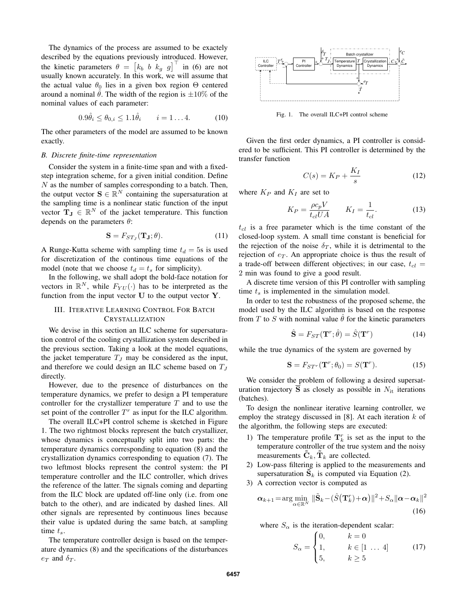The dynamics of the process are assumed to be exactely described by the equations previously introduced. However, the kinetic parameters  $\theta = \begin{bmatrix} k_b & b & k_g & g \end{bmatrix}^\top$  in (6) are not usually known accurately. In this work, we will assume that the actual value  $\theta_0$  lies in a given box region  $\Theta$  centered around a nominal  $\theta$ . The width of the region is  $\pm 10\%$  of the nominal values of each parameter:

$$
0.9\hat{\theta}_i \le \theta_{0,i} \le 1.1\hat{\theta}_i \qquad i = 1...4. \tag{10}
$$

The other parameters of the model are assumed to be known exactly.

## *B. Discrete finite-time representation*

Consider the system in a finite-time span and with a fixedstep integration scheme, for a given initial condition. Define N as the number of samples corresponding to a batch. Then, the output vector  $\mathbf{S} \in \mathbb{R}^N$  containing the supersaturation at the sampling time is a nonlinear static function of the input vector  $T_J \in \mathbb{R}^N$  of the jacket temperature. This function depends on the parameters  $\theta$ :

$$
\mathbf{S} = F_{STJ}(\mathbf{T}_{\mathbf{J}}; \theta). \tag{11}
$$

A Runge-Kutta scheme with sampling time  $t_d = 5s$  is used for discretization of the continous time equations of the model (note that we choose  $t_d = t_s$  for simplicity).

In the following, we shall adopt the bold-face notation for vectors in  $\mathbb{R}^N$ , while  $F_{YU}(\cdot)$  has to be interpreted as the function from the input vector  $U$  to the output vector  $Y$ .

# III. ITERATIVE LEARNING CONTROL FOR BATCH CRYSTALLIZATION

We devise in this section an ILC scheme for supersaturation control of the cooling crystallization system described in the previous section. Taking a look at the model equations, the jacket temperature  $T_J$  may be considered as the input, and therefore we could design an ILC scheme based on  $T_J$ directly.

However, due to the presence of disturbances on the temperature dynamics, we prefer to design a PI temperature controller for the crystallizer temperature  $T$  and to use the set point of the controller  $T<sup>r</sup>$  as input for the ILC algorithm.

The overall ILC+PI control scheme is sketched in Figure 1. The two rightmost blocks represent the batch crystallizer, whose dynamics is conceptually split into two parts: the temperature dynamics corresponding to equation (8) and the crystallization dynamics corresponding to equation (7). The two leftmost blocks represent the control system: the PI temperature controller and the ILC controller, which drives the reference of the latter. The signals coming and departing from the ILC block are updated off-line only (i.e. from one batch to the other), and are indicated by dashed lines. All other signals are represented by continuous lines because their value is updated during the same batch, at sampling time  $t_s$ .

The temperature controller design is based on the temperature dynamics (8) and the specifications of the disturbances  $e_T$  and  $\delta_T$ .



Fig. 1. The overall ILC+PI control scheme

Given the first order dynamics, a PI controller is considered to be sufficient. This PI controller is determined by the transfer function

$$
C(s) = K_P + \frac{K_I}{s} \tag{12}
$$

where  $K_P$  and  $K_I$  are set to

$$
K_P = \frac{\rho c_p V}{t_{cl} U A} \qquad K_I = \frac{1}{t_{cl}}.\tag{13}
$$

 $t_{cl}$  is a free parameter which is the time constant of the closed-loop system. A small time constant is beneficial for the rejection of the noise  $\delta_T$ , while it is detrimental to the rejection of  $e_T$ . An appropriate choice is thus the result of a trade-off between different objectives; in our case,  $t_{cl}$  = 2 min was found to give a good result.

A discrete time version of this PI controller with sampling time  $t_s$  is implemented in the simulation model.

In order to test the robustness of the proposed scheme, the model used by the ILC algorithm is based on the response from T to S with nominal value  $\hat{\theta}$  for the kinetic parameters

$$
\hat{\mathbf{S}} = F_{ST}(\mathbf{T}^r; \hat{\theta}) = \hat{S}(\mathbf{T}^r)
$$
 (14)

while the true dynamics of the system are governed by

$$
\mathbf{S} = F_{ST^r}(\mathbf{T}^r; \theta_0) = S(\mathbf{T}^r). \tag{15}
$$

We consider the problem of following a desired supersaturation trajectory  $\overline{S}$  as closely as possible in  $N_{it}$  iterations (batches).

To design the nonlinear iterative learning controller, we employ the strategy discussed in [8]. At each iteration  $k$  of the algorithm, the following steps are executed:

- 1) The temperature profile  $\mathbf{T}_k^r$  is set as the input to the temperature controller of the true system and the noisy measurements  $\mathbf{C}_k$ ,  $\mathbf{T}_k$  are collected.
- 2) Low-pass filtering is applied to the measurements and supersaturation  $\bar{S}_k$  is computed via Equation (2).
- 3) A correction vector is computed as

$$
\boldsymbol{\alpha}_{k+1} = \arg\min_{\alpha \in \mathbb{R}^N} \|\tilde{\mathbf{S}}_k - (\hat{S}(\mathbf{T}_k^r) + \boldsymbol{\alpha})\|^2 + S_{\alpha} \|\boldsymbol{\alpha} - \boldsymbol{\alpha}_k\|^2
$$
\n(16)

where  $S_{\alpha}$  is the iteration-dependent scalar:

$$
S_{\alpha} = \begin{cases} 0, & k = 0 \\ 1, & k \in [1 \dots 4] \\ 5, & k \ge 5 \end{cases}
$$
 (17)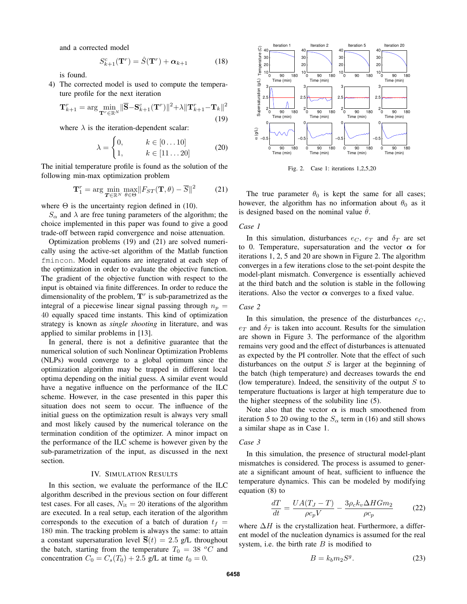and a corrected model

$$
S_{k+1}^c(\mathbf{T}^r) = \hat{S}(\mathbf{T}^r) + \boldsymbol{\alpha}_{k+1} \tag{18}
$$

is found.

4) The corrected model is used to compute the temperature profile for the next iteration

$$
\mathbf{T}_{k+1}^r = \arg\min_{\mathbf{T}^r \in \mathbb{R}^N} \|\overline{\mathbf{S}} - \mathbf{S}_{k+1}^c(\mathbf{T}^r)\|^2 + \lambda \|\mathbf{T}_{k+1}^r - \mathbf{T}_k\|^2
$$
\n(19)

where  $\lambda$  is the iteration-dependent scalar:

$$
\lambda = \begin{cases} 0, & k \in [0 \dots 10] \\ 1, & k \in [11 \dots 20] \end{cases} \tag{20}
$$

The initial temperature profile is found as the solution of the following min-max optimization problem

$$
\mathbf{T}_1^r = \arg\min_{\mathbf{T} \in \mathbb{R}^N} \max_{\theta \in \Theta} \|F_{ST}(\mathbf{T}, \theta) - \overline{S}\|^2 \tag{21}
$$

where  $\Theta$  is the uncertainty region defined in (10).

 $S_{\alpha}$  and  $\lambda$  are free tuning parameters of the algorithm; the choice implemented in this paper was found to give a good trade-off between rapid convergence and noise attenuation.

Optimization problems (19) and (21) are solved numerically using the active-set algorithm of the Matlab function fmincon. Model equations are integrated at each step of the optimization in order to evaluate the objective function. The gradient of the objective function with respect to the input is obtained via finite differences. In order to reduce the dimensionality of the problem,  $T<sup>r</sup>$  is sub-parametrized as the integral of a piecewise linear signal passing through  $n_p =$ 40 equally spaced time instants. This kind of optimization strategy is known as *single shooting* in literature, and was applied to similar problems in [13].

In general, there is not a definitive guarantee that the numerical solution of such Nonlinear Optimization Problems (NLPs) would converge to a global optimum since the optimization algorithm may be trapped in different local optima depending on the initial guess. A similar event would have a negative influence on the performance of the ILC scheme. However, in the case presented in this paper this situation does not seem to occur. The influence of the initial guess on the optimization result is always very small and most likely caused by the numerical tolerance on the termination condition of the optimizer. A minor impact on the performance of the ILC scheme is however given by the sub-parametrization of the input, as discussed in the next section.

#### IV. SIMULATION RESULTS

In this section, we evaluate the performance of the ILC algorithm described in the previous section on four different test cases. For all cases,  $N_{it} = 20$  iterations of the algorithm are executed. In a real setup, each iteration of the algorithm corresponds to the execution of a batch of duration  $t_f$  = 180 min. The tracking problem is always the same: to attain a constant supersaturation level  $\overline{S}(t) = 2.5$  g/L throughout the batch, starting from the temperature  $T_0 = 38 \degree C$  and concentration  $C_0 = C_s(T_0) + 2.5$  g/L at time  $t_0 = 0$ .



Fig. 2. Case 1: iterations 1,2,5,20

The true parameter  $\theta_0$  is kept the same for all cases; however, the algorithm has no information about  $\theta_0$  as it is designed based on the nominal value  $\hat{\theta}$ .

# *Case 1*

In this simulation, disturbances  $e_C$ ,  $e_T$  and  $\delta_T$  are set to 0. Temperature, supersaturation and the vector  $\alpha$  for iterations 1, 2, 5 and 20 are shown in Figure 2. The algorithm converges in a few iterations close to the set-point despite the model-plant mismatch. Convergence is essentially achieved at the third batch and the solution is stable in the following iterations. Also the vector  $\alpha$  converges to a fixed value.

#### *Case 2*

In this simulation, the presence of the disturbances  $e_C$ ,  $e_T$  and  $\delta_T$  is taken into account. Results for the simulation are shown in Figure 3. The performance of the algorithm remains very good and the effect of disturbances is attenuated as expected by the PI controller. Note that the effect of such disturbances on the output  $S$  is larger at the beginning of the batch (high temperature) and decreases towards the end (low temperature). Indeed, the sensitivity of the output  $S$  to temperature fluctuations is larger at high temperature due to the higher steepness of the solubility line (5).

Note also that the vector  $\alpha$  is much smoothened from iteration 5 to 20 owing to the  $S_{\alpha}$  term in (16) and still shows a similar shape as in Case 1.

#### *Case 3*

In this simulation, the presence of structural model-plant mismatches is considered. The process is assumed to generate a significant amount of heat, sufficient to influence the temperature dynamics. This can be modeled by modifying equation (8) to

$$
\frac{dT}{dt} = \frac{UA(T_J - T)}{\rho c_p V} - \frac{3\rho_c k_v \Delta H G m_2}{\rho c_p} \tag{22}
$$

where  $\Delta H$  is the crystallization heat. Furthermore, a different model of the nucleation dynamics is assumed for the real system, i.e. the birth rate  $B$  is modified to

$$
B = k_b m_2 S^g. \tag{23}
$$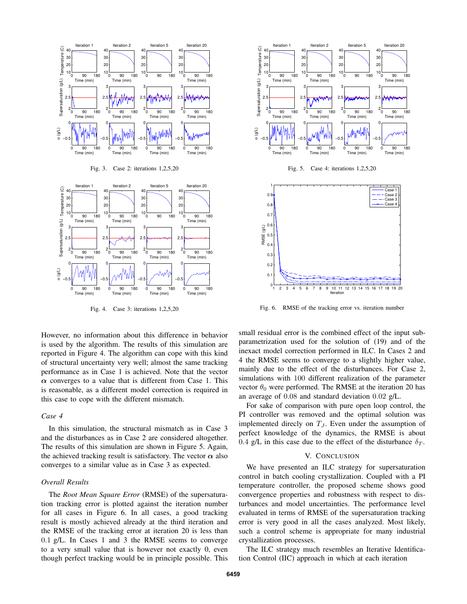

Fig. 4. Case 3: iterations 1,2,5,20

However, no information about this difference in behavior is used by the algorithm. The results of this simulation are reported in Figure 4. The algorithm can cope with this kind of structural uncertainty very well; almost the same tracking performance as in Case 1 is achieved. Note that the vector  $\alpha$  converges to a value that is different from Case 1. This is reasonable, as a different model correction is required in this case to cope with the different mismatch.

#### *Case 4*

In this simulation, the structural mismatch as in Case 3 and the disturbances as in Case 2 are considered altogether. The results of this simulation are shown in Figure 5. Again, the achieved tracking result is satisfactory. The vector  $\alpha$  also converges to a similar value as in Case 3 as expected.

### *Overall Results*

The *Root Mean Square Error* (RMSE) of the supersaturation tracking error is plotted against the iteration number for all cases in Figure 6. In all cases, a good tracking result is mostly achieved already at the third iteration and the RMSE of the tracking error at iteration 20 is less than 0.1 g/L. In Cases 1 and 3 the RMSE seems to converge to a very small value that is however not exactly 0, even though perfect tracking would be in principle possible. This



Fig. 6. RMSE of the tracking error vs. iteration number

Iteration

0  $\overline{0}$ . 0.2

10 11 12 13 14 15

small residual error is the combined effect of the input subparametrization used for the solution of (19) and of the inexact model correction performed in ILC. In Cases 2 and 4 the RMSE seems to converge to a slightly higher value, mainly due to the effect of the disturbances. For Case 2, simulations with 100 different realization of the parameter vector  $\theta_0$  were performed. The RMSE at the iteration 20 has an average of 0.08 and standard deviation 0.02 g/L.

For sake of comparison with pure open loop control, the PI controller was removed and the optimal solution was implemented direcly on  $T_J$ . Even under the assumption of perfect knowledge of the dynamics, the RMSE is about 0.4 g/L in this case due to the effect of the disturbance  $\delta_T$ .

#### V. CONCLUSION

We have presented an ILC strategy for supersaturation control in batch cooling crystallization. Coupled with a PI temperature controller, the proposed scheme shows good convergence properties and robustness with respect to disturbances and model uncertainties. The performance level evaluated in terms of RMSE of the supersaturation tracking error is very good in all the cases analyzed. Most likely, such a control scheme is appropriate for many industrial crystallization processes.

The ILC strategy much resembles an Iterative Identification Control (IIC) approach in which at each iteration